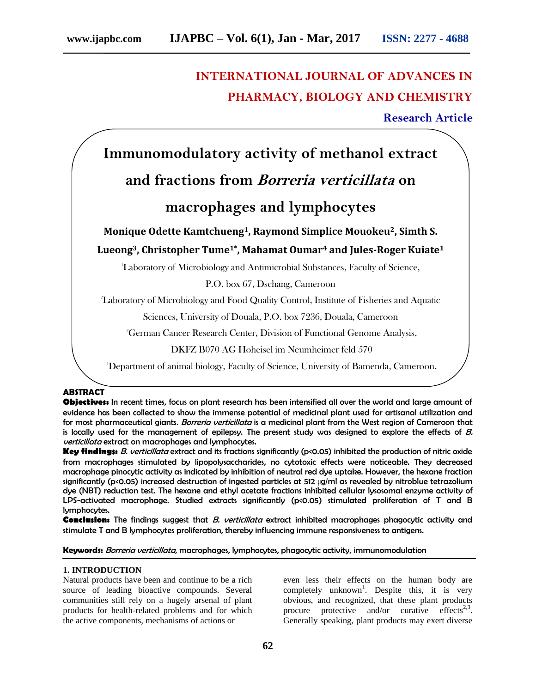# **INTERNATIONAL JOURNAL OF ADVANCES IN PHARMACY, BIOLOGY AND CHEMISTRY**

**Research Article**

# **Immunomodulatory activity of methanol extract**

# **and fractions from Borreria verticillata on**

## **macrophages and lymphocytes**

## **Monique Odette Kamtchueng1, Raymond Simplice Mouokeu2, Simth S. Lueong3, Christopher Tume1\*, Mahamat Oumar<sup>4</sup> and Jules-Roger Kuiate<sup>1</sup>**

<sup>1</sup>Laboratory of Microbiology and Antimicrobial Substances, Faculty of Science,

P.O. box 67, Dschang, Cameroon

<sup>2</sup>Laboratory of Microbiology and Food Quality Control, Institute of Fisheries and Aquatic

Sciences, University of Douala, P.O. box 7236, Douala, Cameroon

<sup>3</sup>German Cancer Research Center, Division of Functional Genome Analysis,

DKFZ B070 AG Hoheisel im Neumheimer feld 570

4Department of animal biology, Faculty of Science, University of Bamenda, Cameroon.

### **ABSTRACT**

**Objectives:** In recent times, focus on plant research has been intensified all over the world and large amount of evidence has been collected to show the immense potential of medicinal plant used for artisanal utilization and for most pharmaceutical giants. Borreria verticillata is a medicinal plant from the West region of Cameroon that is locally used for the management of epilepsy. The present study was designed to explore the effects of  $B$ . verticillata extract on macrophages and lymphocytes.

**Key findings:** B. verticillata extract and its fractions significantly (p<0.05) inhibited the production of nitric oxide from macrophages stimulated by lipopolysaccharides, no cytotoxic effects were noticeable. They decreased macrophage pinocytic activity as indicated by inhibition of neutral red dye uptake. However, the hexane fraction significantly (p<0.05) increased destruction of ingested particles at 512 µg/ml as revealed by nitroblue tetrazolium dye (NBT) reduction test. The hexane and ethyl acetate fractions inhibited cellular lysosomal enzyme activity of LPS-activated macrophage. Studied extracts significantly (p<0.05) stimulated proliferation of T and B lymphocytes.

**Conclusion:** The findings suggest that B. verticillata extract inhibited macrophages phagocytic activity and stimulate T and B lymphocytes proliferation, thereby influencing immune responsiveness to antigens.

**Keywords:** Borreria verticillata, macrophages, lymphocytes, phagocytic activity, immunomodulation

#### **1. INTRODUCTION**

Natural products have been and continue to be a rich source of leading bioactive compounds. Several communities still rely on a hugely arsenal of plant products for health-related problems and for which the active components, mechanisms of actions or

even less their effects on the human body are completely unknown<sup>1</sup>. Despite this, it is very obvious, and recognized, that these plant products procure protective and/or curative effects<sup>2,3</sup>. Generally speaking, plant products may exert diverse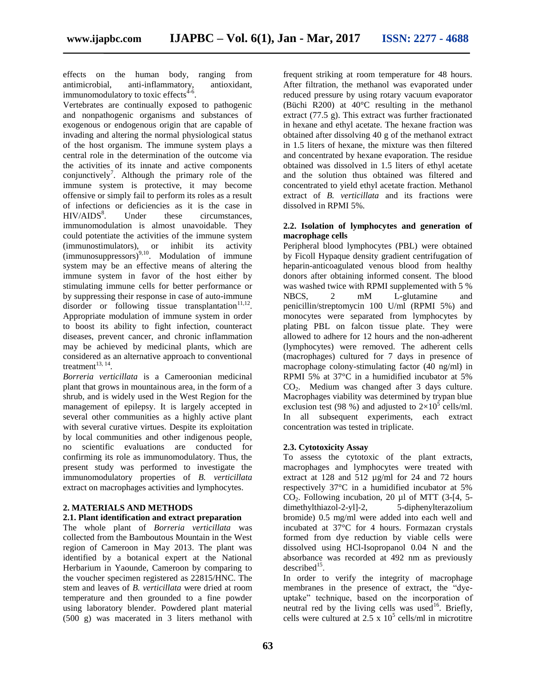effects on the human body, ranging from antimicrobial, anti-inflammatory, antioxidant, immunomodulatory to toxic effects $4-6$ .

Vertebrates are continually exposed to pathogenic and nonpathogenic organisms and substances of exogenous or endogenous origin that are capable of invading and altering the normal physiological status of the host organism. The immune system plays a central role in the determination of the outcome via the activities of its innate and active components conjunctively<sup>7</sup>. Although the primary role of the immune system is protective, it may become offensive or simply fail to perform its roles as a result of infections or deficiencies as it is the case in  $HIV/AIDS<sup>8</sup>$ . Under these circumstances, immunomodulation is almost unavoidable. They could potentiate the activities of the immune system (immunostimulators), or inhibit its activity  $(immunosuppressors)$ <sup>9,10</sup>. Modulation of immune system may be an effective means of altering the immune system in favor of the host either by stimulating immune cells for better performance or by suppressing their response in case of auto-immune  $disorder$  or following tissue transplantation<sup>11,12</sup>. Appropriate modulation of immune system in order to boost its ability to fight infection, counteract diseases, prevent cancer, and chronic inflammation may be achieved by medicinal plants, which are considered as an alternative approach to conventional treatment $^{13, 14}$ .

*Borreria verticillata* is a Cameroonian medicinal plant that grows in mountainous area, in the form of a shrub, and is widely used in the West Region for the management of epilepsy. It is largely accepted in several other communities as a highly active plant with several curative virtues. Despite its exploitation by local communities and other indigenous people, no scientific evaluations are conducted for confirming its role as immunomodulatory. Thus, the present study was performed to investigate the immunomodulatory properties of *B. verticillata* extract on macrophages activities and lymphocytes.

### **2. MATERIALS AND METHODS**

#### **2.1. Plant identification and extract preparation**

The whole plant of *Borreria verticillata* was collected from the Bamboutous Mountain in the West region of Cameroon in May 2013. The plant was identified by a botanical expert at the National Herbarium in Yaounde, Cameroon by comparing to the voucher specimen registered as 22815/HNC. The stem and leaves of *B. verticillata* were dried at room temperature and then grounded to a fine powder using laboratory blender. Powdered plant material (500 g) was macerated in 3 liters methanol with

frequent striking at room temperature for 48 hours. After filtration, the methanol was evaporated under reduced pressure by using rotary vacuum evaporator (Büchi R200) at 40°C resulting in the methanol extract (77.5 g). This extract was further fractionated in hexane and ethyl acetate. The hexane fraction was obtained after dissolving 40 g of the methanol extract in 1.5 liters of hexane, the mixture was then filtered and concentrated by hexane evaporation. The residue obtained was dissolved in 1.5 liters of ethyl acetate and the solution thus obtained was filtered and concentrated to yield ethyl acetate fraction. Methanol extract of *B. verticillata* and its fractions were dissolved in RPMI 5%.

#### **2.2. Isolation of lymphocytes and generation of macrophage cells**

Peripheral blood lymphocytes (PBL) were obtained by Ficoll Hypaque density gradient centrifugation of heparin-anticoagulated venous blood from healthy donors after obtaining informed consent. The blood was washed twice with RPMI supplemented with 5 % NBCS, 2 mM L-glutamine and penicillin/streptomycin 100 U/ml (RPMI 5%) and monocytes were separated from lymphocytes by plating PBL on falcon tissue plate. They were allowed to adhere for 12 hours and the non-adherent (lymphocytes) were removed. The adherent cells (macrophages) cultured for 7 days in presence of macrophage colony-stimulating factor (40 ng/ml) in RPMI 5% at 37°C in a humidified incubator at 5% CO<sub>2</sub>. Medium was changed after 3 days culture. Macrophages viability was determined by trypan blue exclusion test (98 %) and adjusted to  $2\times10^5$  cells/ml. In all subsequent experiments, each extract concentration was tested in triplicate.

#### **2.3. Cytotoxicity Assay**

To assess the cytotoxic of the plant extracts, macrophages and lymphocytes were treated with extract at 128 and 512 µg/ml for 24 and 72 hours respectively 37°C in a humidified incubator at 5%  $CO<sub>2</sub>$ . Following incubation, 20 µl of MTT (3-[4, 5-dimethylthiazol-2-yl]-2, 5-diphenylterazolium dimethylthiazol-2-yll-2, bromide) 0.5 mg/ml were added into each well and incubated at 37°C for 4 hours. Formazan crystals formed from dye reduction by viable cells were dissolved using HCl-Isopropanol 0.04 N and the absorbance was recorded at 492 nm as previously  $described<sup>15</sup>$ .

In order to verify the integrity of macrophage membranes in the presence of extract, the "dyeuptake" technique, based on the incorporation of neutral red by the living cells was used<sup>16</sup>. Briefly, cells were cultured at  $2.5 \times 10^5$  cells/ml in microtitre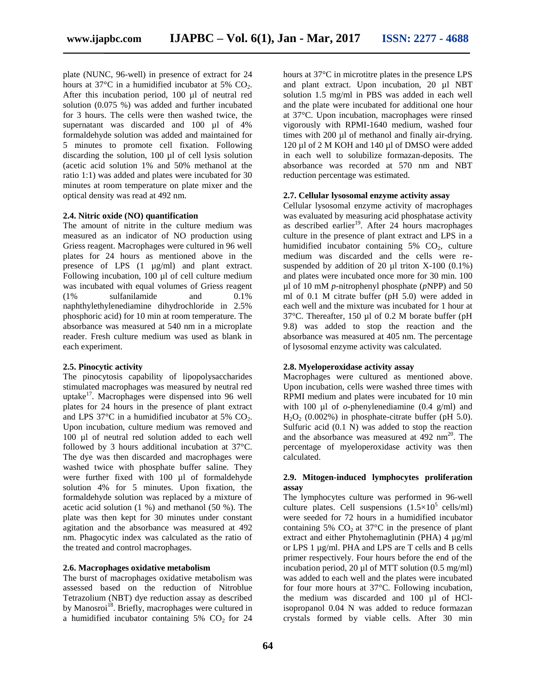plate (NUNC, 96-well) in presence of extract for 24 hours at 37 $\degree$ C in a humidified incubator at 5% CO<sub>2</sub>. After this incubation period, 100 µl of neutral red solution (0.075 %) was added and further incubated for 3 hours. The cells were then washed twice, the supernatant was discarded and 100 µl of 4% formaldehyde solution was added and maintained for 5 minutes to promote cell fixation. Following discarding the solution, 100 µl of cell lysis solution (acetic acid solution 1% and 50% methanol at the ratio 1:1) was added and plates were incubated for 30 minutes at room temperature on plate mixer and the optical density was read at 492 nm.

#### **2.4. Nitric oxide (NO) quantification**

The amount of nitrite in the culture medium was measured as an indicator of NO production using Griess reagent. Macrophages were cultured in 96 well plates for 24 hours as mentioned above in the presence of LPS (1 µg/ml) and plant extract. Following incubation, 100 µl of cell culture medium was incubated with equal volumes of Griess reagent (1% sulfanilamide and 0.1% naphthylethylenediamine dihydrochloride in 2.5% phosphoric acid) for 10 min at room temperature. The absorbance was measured at 540 nm in a microplate reader. Fresh culture medium was used as blank in each experiment.

#### **2.5. Pinocytic activity**

The pinocytosis capability of lipopolysaccharides stimulated macrophages was measured by neutral red uptake $17$ . Macrophages were dispensed into 96 well plates for 24 hours in the presence of plant extract and LPS 37 $\degree$ C in a humidified incubator at 5% CO<sub>2</sub>. Upon incubation, culture medium was removed and 100 µl of neutral red solution added to each well followed by 3 hours additional incubation at 37°C. The dye was then discarded and macrophages were washed twice with phosphate buffer saline. They were further fixed with 100 µl of formaldehyde solution 4% for 5 minutes. Upon fixation, the formaldehyde solution was replaced by a mixture of acetic acid solution (1 %) and methanol (50 %). The plate was then kept for 30 minutes under constant agitation and the absorbance was measured at 492 nm. Phagocytic index was calculated as the ratio of the treated and control macrophages.

#### **2.6. Macrophages oxidative metabolism**

The burst of macrophages oxidative metabolism was assessed based on the reduction of Nitroblue Tetrazolium (NBT) dye reduction assay as described by Manosroi<sup>18</sup>. Briefly, macrophages were cultured in a humidified incubator containing  $5\%$  CO<sub>2</sub> for 24

hours at 37°C in microtitre plates in the presence LPS and plant extract. Upon incubation, 20 µl NBT solution 1.5 mg/ml in PBS was added in each well and the plate were incubated for additional one hour at 37°C. Upon incubation, macrophages were rinsed vigorously with RPMI-1640 medium, washed four times with 200 µl of methanol and finally air-drying. 120 µl of 2 M KOH and 140 µl of DMSO were added in each well to solubilize formazan-deposits. The absorbance was recorded at 570 nm and NBT reduction percentage was estimated.

#### **2.7. Cellular lysosomal enzyme activity assay**

Cellular lysosomal enzyme activity of macrophages was evaluated by measuring acid phosphatase activity as described earlier<sup>19</sup>. After 24 hours macrophages culture in the presence of plant extract and LPS in a humidified incubator containing  $5\%$  CO<sub>2</sub>, culture medium was discarded and the cells were resuspended by addition of 20  $\mu$ l triton X-100 (0.1%) and plates were incubated once more for 30 min. 100 µl of 10 mM *p*-nitrophenyl phosphate (*p*NPP) and 50 ml of 0.1 M citrate buffer (pH 5.0) were added in each well and the mixture was incubated for 1 hour at 37°C. Thereafter, 150 µl of 0.2 M borate buffer (pH 9.8) was added to stop the reaction and the absorbance was measured at 405 nm. The percentage of lysosomal enzyme activity was calculated.

#### **2.8. Myeloperoxidase activity assay**

Macrophages were cultured as mentioned above. Upon incubation, cells were washed three times with RPMI medium and plates were incubated for 10 min with 100 µl of *o*-phenylenediamine (0.4 g/ml) and  $H<sub>2</sub>O<sub>2</sub>$  (0.002%) in phosphate-citrate buffer (pH 5.0). Sulfuric acid (0.1 N) was added to stop the reaction and the absorbance was measured at  $492 \text{ nm}^{20}$ . The percentage of myeloperoxidase activity was then calculated.

#### **2.9. Mitogen-induced lymphocytes proliferation assay**

The lymphocytes culture was performed in 96-well culture plates. Cell suspensions  $(1.5\times10^5 \text{ cells/ml})$ were seeded for 72 hours in a humidified incubator containing 5%  $CO<sub>2</sub>$  at 37°C in the presence of plant extract and either Phytohemaglutinin (PHA) 4 µg/ml or LPS 1 µg/ml. PHA and LPS are T cells and B cells primer respectively. Four hours before the end of the incubation period, 20 µl of MTT solution (0.5 mg/ml) was added to each well and the plates were incubated for four more hours at 37°C. Following incubation, the medium was discarded and 100 µl of HClisopropanol 0.04 N was added to reduce formazan crystals formed by viable cells. After 30 min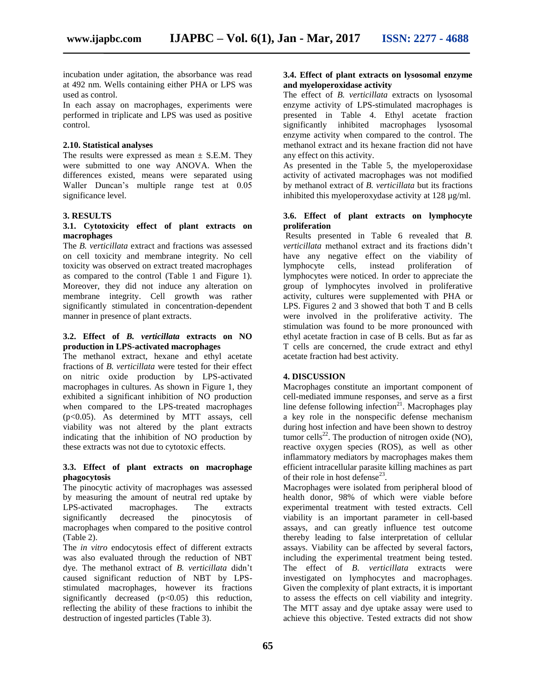incubation under agitation, the absorbance was read at 492 nm. Wells containing either PHA or LPS was used as control.

In each assay on macrophages, experiments were performed in triplicate and LPS was used as positive control.

#### **2.10. Statistical analyses**

The results were expressed as mean  $\pm$  S.E.M. They were submitted to one way ANOVA. When the differences existed, means were separated using Waller Duncan's multiple range test at 0.05 significance level.

#### **3. RESULTS**

#### **3.1. Cytotoxicity effect of plant extracts on macrophages**

The *B. verticillata* extract and fractions was assessed on cell toxicity and membrane integrity. No cell toxicity was observed on extract treated macrophages as compared to the control (Table 1 and Figure 1). Moreover, they did not induce any alteration on membrane integrity. Cell growth was rather significantly stimulated in concentration-dependent manner in presence of plant extracts.

### **3.2. Effect of** *B. verticillata* **extracts on NO production in LPS-activated macrophages**

The methanol extract, hexane and ethyl acetate fractions of *B. verticillata* were tested for their effect on nitric oxide production by LPS-activated macrophages in cultures. As shown in Figure 1, they exhibited a significant inhibition of NO production when compared to the LPS-treated macrophages (p<0.05). As determined by MTT assays, cell viability was not altered by the plant extracts indicating that the inhibition of NO production by these extracts was not due to cytotoxic effects.

#### **3.3. Effect of plant extracts on macrophage phagocytosis**

The pinocytic activity of macrophages was assessed by measuring the amount of neutral red uptake by LPS-activated macrophages. The extracts significantly decreased the pinocytosis of macrophages when compared to the positive control (Table 2).

The *in vitro* endocytosis effect of different extracts was also evaluated through the reduction of NBT dye. The methanol extract of *B. verticillata* didn't caused significant reduction of NBT by LPSstimulated macrophages, however its fractions significantly decreased  $(p<0.05)$  this reduction, reflecting the ability of these fractions to inhibit the destruction of ingested particles (Table 3).

#### **3.4. Effect of plant extracts on lysosomal enzyme and myeloperoxidase activity**

The effect of *B. verticillata* extracts on lysosomal enzyme activity of LPS-stimulated macrophages is presented in Table 4. Ethyl acetate fraction significantly inhibited macrophages lysosomal enzyme activity when compared to the control. The methanol extract and its hexane fraction did not have any effect on this activity.

As presented in the Table 5, the myeloperoxidase activity of activated macrophages was not modified by methanol extract of *B. verticillata* but its fractions inhibited this myeloperoxydase activity at 128 µg/ml.

#### **3.6. Effect of plant extracts on lymphocyte proliferation**

Results presented in Table 6 revealed that *B. verticillata* methanol extract and its fractions didn't have any negative effect on the viability of lymphocyte cells, instead proliferation of lymphocytes were noticed. In order to appreciate the group of lymphocytes involved in proliferative activity, cultures were supplemented with PHA or LPS. Figures 2 and 3 showed that both T and B cells were involved in the proliferative activity. The stimulation was found to be more pronounced with ethyl acetate fraction in case of B cells. But as far as T cells are concerned, the crude extract and ethyl acetate fraction had best activity.

#### **4. DISCUSSION**

Macrophages constitute an important component of cell-mediated immune responses, and serve as a first line defense following infection<sup>21</sup>. Macrophages play a key role in the nonspecific defense mechanism during host infection and have been shown to destroy tumor cells<sup>22</sup>. The production of nitrogen oxide (NO), reactive oxygen species (ROS), as well as other inflammatory mediators by macrophages makes them efficient intracellular parasite killing machines as part of their role in host defense<sup>23</sup>.

Macrophages were isolated from peripheral blood of health donor, 98% of which were viable before experimental treatment with tested extracts. Cell viability is an important parameter in cell-based assays, and can greatly influence test outcome thereby leading to false interpretation of cellular assays. Viability can be affected by several factors, including the experimental treatment being tested. The effect of *B. verticillata* extracts were investigated on lymphocytes and macrophages. Given the complexity of plant extracts, it is important to assess the effects on cell viability and integrity. The MTT assay and dye uptake assay were used to achieve this objective. Tested extracts did not show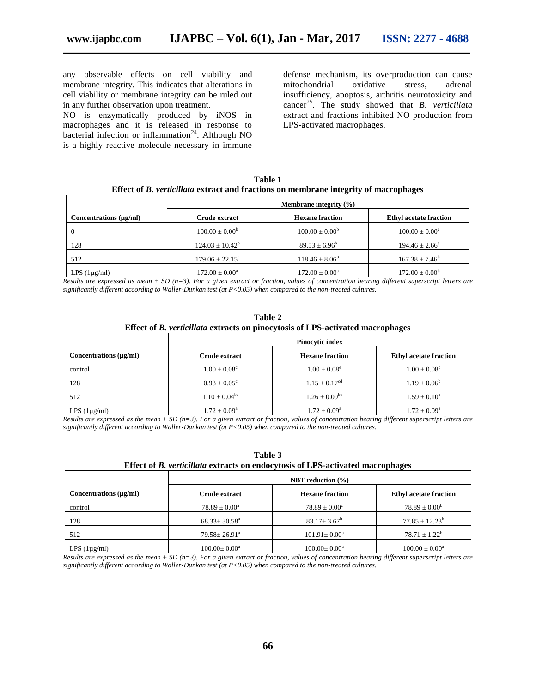any observable effects on cell viability and membrane integrity. This indicates that alterations in cell viability or membrane integrity can be ruled out in any further observation upon treatment.

NO is enzymatically produced by iNOS in macrophages and it is released in response to bacterial infection or inflammation<sup>24</sup>. Although NO is a highly reactive molecule necessary in immune

defense mechanism, its overproduction can cause mitochondrial oxidative stress, adrenal insufficiency, apoptosis, arthritis neurotoxicity and cancer<sup>25</sup>. The study showed that *B*. verticillata extract and fractions inhibited NO production from LPS-activated macrophages.

| Table 1                                                                              |
|--------------------------------------------------------------------------------------|
| Effect of B. verticillata extract and fractions on membrane integrity of macrophages |

|                             | <b>Membrane integrity</b> $(\% )$ |                           |                               |
|-----------------------------|-----------------------------------|---------------------------|-------------------------------|
| Concentrations $(\mu g/ml)$ | Crude extract                     | <b>Hexane fraction</b>    | <b>Ethyl acetate fraction</b> |
|                             | $100.00 \pm 0.00^{\circ}$         | $100.00 \pm 0.00^{\circ}$ | $100.00 \pm 0.00^{\circ}$     |
| 128                         | $124.03 + 10.42^b$                | $89.53 \pm 6.96^{\circ}$  | $194.46 \pm 2.66^{\circ}$     |
| 512                         | $179.06 \pm 22.15^{\circ}$        | $118.46 \pm 8.06^b$       | $167.38 \pm 7.46^b$           |
| LPS $(1\mu g/ml)$           | $172.00 \pm 0.00^a$               | $172.00 \pm 0.00^a$       | $172.00 \pm 0.00^b$           |

*Results are expressed as mean ± SD (n=3). For a given extract or fraction, values of concentration bearing different superscript letters are significantly different according to Waller-Dunkan test (at P<0.05) when compared to the non-treated cultures.*

| Table 2                                                                               |
|---------------------------------------------------------------------------------------|
| Effect of <i>B. verticillata</i> extracts on pinocytosis of LPS-activated macrophages |

|                             | <b>Pinocytic index</b>   |                               |                               |
|-----------------------------|--------------------------|-------------------------------|-------------------------------|
| Concentrations $(\mu g/ml)$ | Crude extract            | <b>Hexane fraction</b>        | <b>Ethyl acetate fraction</b> |
| control                     | $1.00 \pm 0.08^{\circ}$  | $1.00 \pm 0.08^e$             | $1.00 \pm 0.08^c$             |
| 128                         | $0.93 \pm 0.05^{\circ}$  | $1.15 \pm 0.17^{\text{cd}}$   | $1.19 \pm 0.06^b$             |
| 512                         | $1.10 \pm 0.04^{\rm bc}$ | $1.26 \pm 0.09$ <sup>bc</sup> | $1.59 \pm 0.10^a$             |
| LPS $(1\mu g/ml)$           | $1.72 \pm 0.09^{\rm a}$  | $1.72 \pm 0.09^{\rm a}$       | $1.72 \pm 0.09^{\rm a}$       |

*Results are expressed as the mean ± SD (n=3). For a given extract or fraction, values of concentration bearing different superscript letters are significantly different according to Waller-Dunkan test (at P<0.05) when compared to the non-treated cultures.*

| Table 3                                                                        |
|--------------------------------------------------------------------------------|
| Effect of B. verticillata extracts on endocytosis of LPS-activated macrophages |
|                                                                                |

| Concentrations $(\mu g/ml)$ | <b>NBT</b> reduction $(\% )$ |                           |                               |
|-----------------------------|------------------------------|---------------------------|-------------------------------|
|                             | Crude extract                | <b>Hexane fraction</b>    | <b>Ethyl acetate fraction</b> |
| control                     | $78.89 \pm 0.00^{\circ}$     | $78.89 \pm 0.00^{\circ}$  | $78.89 \pm 0.00^b$            |
| 128                         | $68.33 \pm 30.58^{\circ}$    | $83.17 \pm 3.67^{\rm b}$  | $77.85 + 12.23^b$             |
| 512                         | $79.58 \pm 26.91^{\circ}$    | $101.91 \pm 0.00^a$       | $78.71 + 1.22^b$              |
| LPS $(1\mu g/ml)$           | $100.00 \pm 0.00^{\circ}$    | $100.00 \pm 0.00^{\circ}$ | $100.00 \pm 0.00^{\circ}$     |

*Results are expressed as the mean ± SD (n=3). For a given extract or fraction, values of concentration bearing different superscript letters are significantly different according to Waller-Dunkan test (at P<0.05) when compared to the non-treated cultures.*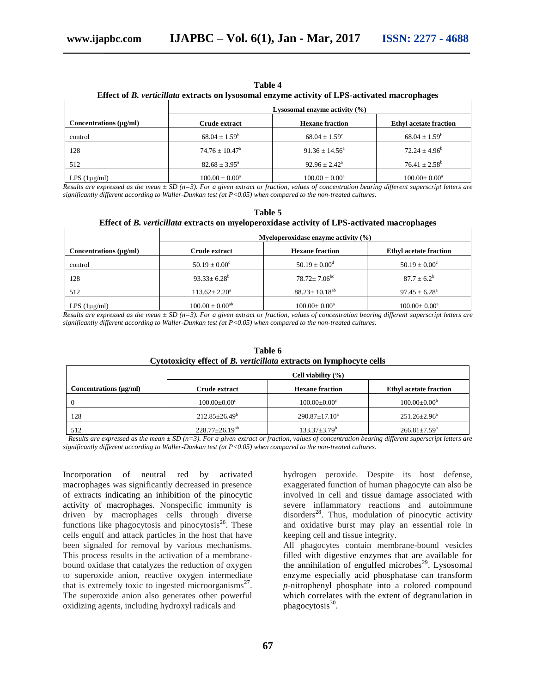| anı |  |
|-----|--|
|-----|--|

|                        | Effect of <i>D. Ferneman</i> extracts on rysosomar enzyme activity of EFS activated macrophages<br>Lysosomal enzyme activity $(\% )$ |                           |                               |
|------------------------|--------------------------------------------------------------------------------------------------------------------------------------|---------------------------|-------------------------------|
| Concentrations (µg/ml) | Crude extract                                                                                                                        | <b>Hexane fraction</b>    | <b>Ethyl acetate fraction</b> |
| control                | $68.04 \pm 1.59^b$                                                                                                                   | $68.04 \pm 1.59^{\circ}$  | $68.04 \pm 1.59^b$            |
| 128                    | $74.76 \pm 10.47^{\circ}$                                                                                                            | $91.36 \pm 14.56^{\circ}$ | $72.24 \pm 4.96^b$            |
| 512                    | $82.68 \pm 3.95^{\circ}$                                                                                                             | $92.96 \pm 2.42^{\circ}$  | $76.41 \pm 2.58^{\rm b}$      |
| LPS $(1\mu g/ml)$      | $100.00 \pm 0.00^{\circ}$                                                                                                            | $100.00 \pm 0.00^a$       | $100.00 \pm 0.00^{\text{a}}$  |

**Effect of** *B. verticillata* **extracts on lysosomal enzyme activity of LPS-activated macrophages**

*Results are expressed as the mean ± SD (n=3). For a given extract or fraction, values of concentration bearing different superscript letters are significantly different according to Waller-Dunkan test (at P<0.05) when compared to the non-treated cultures.*

| Table 5                                                                                     |
|---------------------------------------------------------------------------------------------|
| Effect of B. verticillata extracts on myeloperoxidase activity of LPS-activated macrophages |

|                        | Myeloperoxidase enzyme activity $(\% )$ |                              |                               |
|------------------------|-----------------------------------------|------------------------------|-------------------------------|
| Concentrations (µg/ml) | Crude extract                           | <b>Hexane fraction</b>       | <b>Ethyl acetate fraction</b> |
| control                | $50.19 \pm 0.00^{\circ}$                | $50.19 \pm 0.00^{\rm d}$     | $50.19 \pm 0.00^{\circ}$      |
| 128                    | $93.33 \pm 6.28^b$                      | $78.72 + 7.06$ <sup>bc</sup> | $87.7 \pm 6.2^b$              |
| 512                    | $113.62 \pm 2.20^{\circ}$               | $88.23 + 10.18^{ab}$         | $97.45 \pm 6.28^{\circ}$      |
| LPS $(1\mu g/ml)$      | $100.00 \pm 0.00^{ab}$                  | $100.00 \pm 0.00^{\circ}$    | $100.00 \pm 0.00^{\circ}$     |

*Results are expressed as the mean ± SD (n=3). For a given extract or fraction, values of concentration bearing different superscript letters are significantly different according to Waller-Dunkan test (at P<0.05) when compared to the non-treated cultures.*

|                        | Cell viability $(\% )$    |                           |                               |
|------------------------|---------------------------|---------------------------|-------------------------------|
| Concentrations (µg/ml) | Crude extract             | <b>Hexane fraction</b>    | <b>Ethyl acetate fraction</b> |
|                        | $100.00 \pm 0.00^{\circ}$ | $100.00 \pm 0.00^{\circ}$ | $100.00 \pm 0.00^{\circ}$     |
| 128                    | $212.85 \pm 26.49^b$      | $290.87 \pm 17.10^a$      | $251.26 \pm 2.96^a$           |
| 512                    | $228.77 \pm 26.19^{ab}$   | $133.37 \pm 3.79^{\rm b}$ | $266.81 \pm 7.59^{\circ}$     |

#### **Table 6 Cytotoxicity effect of** *B. verticillata* **extracts on lymphocyte cells**

 *Results are expressed as the mean ± SD (n=3). For a given extract or fraction, values of concentration bearing different superscript letters are significantly different according to Waller-Dunkan test (at P<0.05) when compared to the non-treated cultures.*

Incorporation of neutral red by activated macrophages was significantly decreased in presence of extracts indicating an inhibition of the pinocytic activity of macrophages. Nonspecific immunity is driven by macrophages cells through diverse functions like phagocytosis and pinocytosis<sup>26</sup>. These cells engulf and attack particles in the host that have been signaled for removal by various mechanisms. This process results in the activation of a membranebound oxidase that catalyzes the reduction of oxygen to superoxide anion, reactive oxygen intermediate that is extremely toxic to ingested microorganisms $^{27}$ . The superoxide anion also generates other powerful oxidizing agents, including hydroxyl radicals and

hydrogen peroxide. Despite its host defense, exaggerated function of human phagocyte can also be involved in cell and tissue damage associated with severe inflammatory reactions and autoimmune disorders<sup>28</sup>. Thus, modulation of pinocytic activity and oxidative burst may play an essential role in keeping cell and tissue integrity.

All phagocytes contain membrane-bound vesicles filled with digestive enzymes that are available for the annihilation of engulfed microbes<sup>29</sup>. Lysosomal enzyme especially acid phosphatase can transform *p*-nitrophenyl phosphate into a colored compound which correlates with the extent of degranulation in phagocytosis<sup>30</sup>.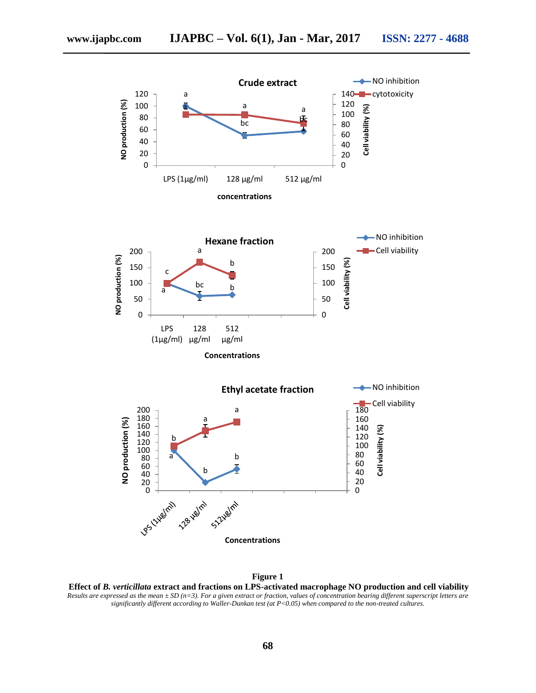

**Figure 1**

**Effect of** *B. verticillata* **extract and fractions on LPS-activated macrophage NO production and cell viability** *Results are expressed as the mean*  $\pm$  *SD (n=3). For a given extract or fraction, values of concentration bearing different superscript letters are significantly different according to Waller-Dunkan test (at P<0.05) when compared to the non-treated cultures.*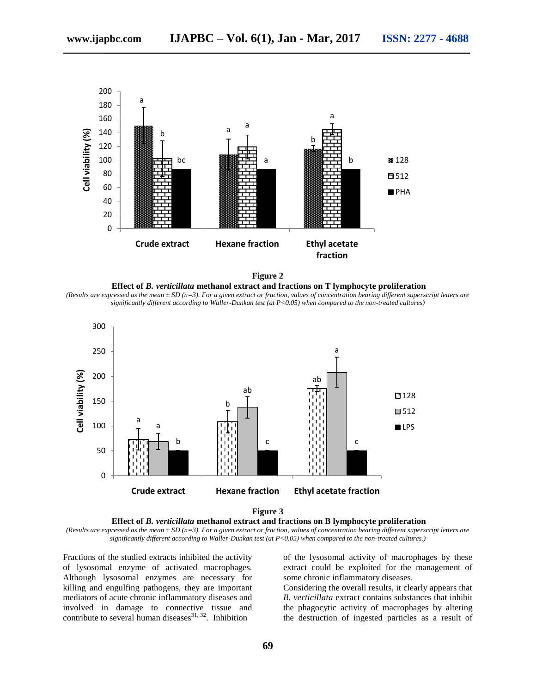

**Figure 2 Effect of** *B. verticillata* **methanol extract and fractions on T lymphocyte proliferation** (Results are expressed as the mean  $\pm$  SD (n=3). For a given extract or fraction, values of concentration bearing different superscript letters are

*significantly different according to Waller-Dunkan test (at P<0.05) when compared to the non-treated cultures)*





*(Results are expressed as the mean ± SD (n=3). For a given extract or fraction, values of concentration bearing different superscript letters are significantly different according to Waller-Dunkan test (at P<0.05) when compared to the non-treated cultures.)*

Fractions of the studied extracts inhibited the activity of lysosomal enzyme of activated macrophages. Although lysosomal enzymes are necessary for killing and engulfing pathogens, they are important mediators of acute chronic inflammatory diseases and involved in damage to connective tissue and contribute to several human diseases $^{31, 32}$ . Inhibition

of the lysosomal activity of macrophages by these extract could be exploited for the management of some chronic inflammatory diseases.

Considering the overall results, it clearly appears that *B. verticillata* extract contains substances that inhibit the phagocytic activity of macrophages by altering the destruction of ingested particles as a result of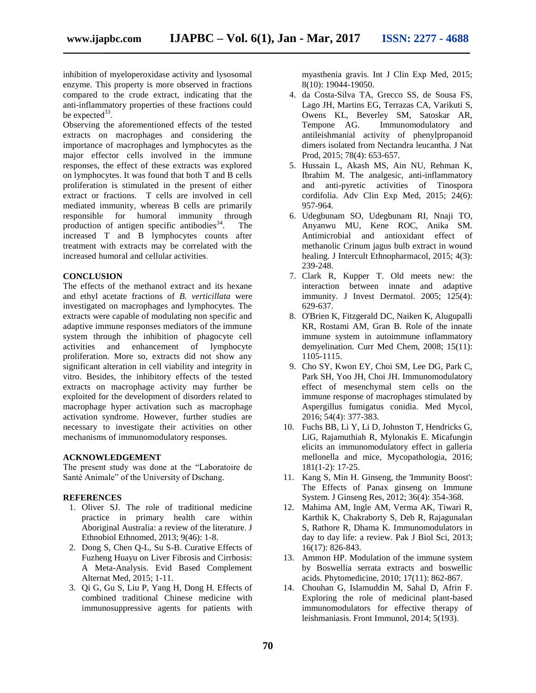inhibition of myeloperoxidase activity and lysosomal enzyme. This property is more observed in fractions compared to the crude extract, indicating that the anti-inflammatory properties of these fractions could be expected $33$ .

Observing the aforementioned effects of the tested extracts on macrophages and considering the importance of macrophages and lymphocytes as the major effector cells involved in the immune responses, the effect of these extracts was explored on lymphocytes. It was found that both T and B cells proliferation is stimulated in the present of either extract or fractions. T cells are involved in cell mediated immunity, whereas B cells are primarily responsible for humoral immunity through production of antigen specific antibodies<sup>34</sup>. . The increased T and B lymphocytes counts after treatment with extracts may be correlated with the increased humoral and cellular activities.

#### **CONCLUSION**

The effects of the methanol extract and its hexane and ethyl acetate fractions of *B. verticillata* were investigated on macrophages and lymphocytes. The extracts were capable of modulating non specific and adaptive immune responses mediators of the immune system through the inhibition of phagocyte cell activities and enhancement of lymphocyte proliferation. More so, extracts did not show any significant alteration in cell viability and integrity in vitro. Besides, the inhibitory effects of the tested extracts on macrophage activity may further be exploited for the development of disorders related to macrophage hyper activation such as macrophage activation syndrome. However, further studies are necessary to investigate their activities on other mechanisms of immunomodulatory responses.

#### **ACKNOWLEDGEMENT**

The present study was done at the "Laboratoire de Santé Animale" of the University of Dschang.

#### **REFERENCES**

- 1. Oliver SJ. The role of traditional medicine practice in primary health care within Aboriginal Australia: a review of the literature. J Ethnobiol Ethnomed, 2013; 9(46): 1-8.
- 2. Dong S, Chen Q-L, Su S-B. Curative Effects of Fuzheng Huayu on Liver Fibrosis and Cirrhosis: A Meta-Analysis. Evid Based Complement Alternat Med, 2015; 1-11.
- 3. Qi G, Gu S, Liu P, Yang H, Dong H. Effects of combined traditional Chinese medicine with immunosuppressive agents for patients with

myasthenia gravis. Int J Clin Exp Med, 2015; 8(10): 19044-19050.

- 4. da Costa-Silva TA, Grecco SS, de Sousa FS, Lago JH, Martins EG, Terrazas CA, Varikuti S, Owens KL, Beverley SM, Satoskar AR, Tempone AG. Immunomodulatory and antileishmanial activity of phenylpropanoid dimers isolated from Nectandra leucantha. J Nat Prod, 2015; 78(4): 653-657.
- 5. Hussain L, Akash MS, Ain NU, Rehman K, Ibrahim M. The analgesic, anti-inflammatory and anti-pyretic activities of Tinospora cordifolia. Adv Clin Exp Med, 2015; 24(6): 957-964.
- 6. Udegbunam SO, Udegbunam RI, Nnaji TO, Anyanwu MU, Kene ROC, Anika SM. Antimicrobial and antioxidant effect of methanolic Crinum jagus bulb extract in wound healing. J Intercult Ethnopharmacol, 2015; 4(3): 239-248.
- 7. Clark R, Kupper T. Old meets new: the interaction between innate and adaptive immunity. J Invest Dermatol. 2005; 125(4): 629-637.
- 8. O'Brien K, Fitzgerald DC, Naiken K, Alugupalli KR, Rostami AM, Gran B. Role of the innate immune system in autoimmune inflammatory demyelination. Curr Med Chem, 2008; 15(11): 1105-1115.
- 9. Cho SY, Kwon EY, Choi SM, Lee DG, Park C, Park SH, Yoo JH, Choi JH. Immunomodulatory effect of mesenchymal stem cells on the immune response of macrophages stimulated by Aspergillus fumigatus conidia. Med Mycol, 2016; 54(4): 377-383.
- 10. Fuchs BB, Li Y, Li D, Johnston T, Hendricks G, LiG, Rajamuthiah R, Mylonakis E. Micafungin elicits an immunomodulatory effect in galleria mellonella and mice, Mycopathologia, 2016; 181(1-2): 17-25.
- 11. Kang S, Min H. Ginseng, the 'Immunity Boost': The Effects of Panax ginseng on Immune System. J Ginseng Res, 2012; 36(4): 354-368.
- 12. Mahima AM, Ingle AM, Verma AK, Tiwari R, Karthik K, Chakraborty S, Deb R, Rajagunalan S, Rathore R, Dhama K. Immunomodulators in day to day life: a review. Pak J Biol Sci, 2013; 16(17): 826-843.
- 13. Ammon HP. Modulation of the immune system by Boswellia serrata extracts and boswellic acids. Phytomedicine, 2010; 17(11): 862-867.
- 14. Chouhan G, Islamuddin M, Sahal D, Afrin F. Exploring the role of medicinal plant-based immunomodulators for effective therapy of leishmaniasis. Front Immunol, 2014; 5(193).